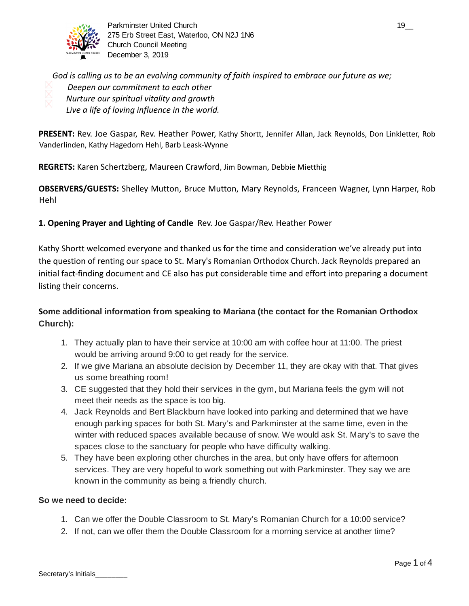

Parkminster United Church 19\_000 and 19\_000 and 19\_000 and 19\_000 and 19\_000 and 19\_000 and 19\_000 and 19\_000 and 19\_000 and 19\_000 and 19\_000 and 19\_000 and 19\_000 and 19\_000 and 19\_000 and 19\_000 and 19\_000 and 19\_000 an 275 Erb Street East, Waterloo, ON N2J 1N6 Church Council Meeting December 3, 2019

*God is calling us to be an evolving community of faith inspired to embrace our future as we; Deepen our commitment to each other Nurture our spiritual vitality and growth Live a life of loving influence in the world.* 

**PRESENT:** Rev. Joe Gaspar, Rev. Heather Power, Kathy Shortt, Jennifer Allan, Jack Reynolds, Don Linkletter, Rob Vanderlinden, Kathy Hagedorn Hehl, Barb Leask-Wynne

**REGRETS:** Karen Schertzberg, Maureen Crawford , Jim Bowman, Debbie Mietthig

**OBSERVERS/GUESTS:** Shelley Mutton, Bruce Mutton, Mary Reynolds, Franceen Wagner, Lynn Harper, Rob Hehl

## **1. Opening Prayer and Lighting of Candle** Rev. Joe Gaspar/Rev. Heather Power

Kathy Shortt welcomed everyone and thanked us for the time and consideration we've already put into the question of renting our space to St. Mary's Romanian Orthodox Church. Jack Reynolds prepared an initial fact-finding document and CE also has put considerable time and effort into preparing a document listing their concerns.

# **S ome additional information from speaking to Mariana (the contact for the Romanian Orthodox Church):**

- 1. They actually plan to have their service at 10:00 am with coffee hour at 11:00. The priest would be arriving around 9:00 to get ready for the service.
- 2. If we give Mariana an absolute decision by December 11, they are okay with that. That gives us some breathing room!
- 3. CE suggested that they hold their services in the gym, but Mariana feels the gym will not meet their needs as the space is too big.
- 4. Jack Reynolds and Bert Blackburn have looked into parking and determined that we have enough parking spaces for both St. Mary's and Parkminster at the same time, even in the winter with reduced spaces available because of snow. We would ask St. Mary's to save the spaces close to the sanctuary for people who have difficulty walking.
- 5. They have been exploring other churches in the area, but only have offers for afternoon services. They are very hopeful to work something out with Parkminster. They say we are known in the community as being a friendly church.

#### **So we need to decide:**

- 1. Can we offer the Double Classroom to St. Mary's Romanian Church for a 10:00 service?
- 2. If not, can we offer them the Double Classroom for a morning service at another time?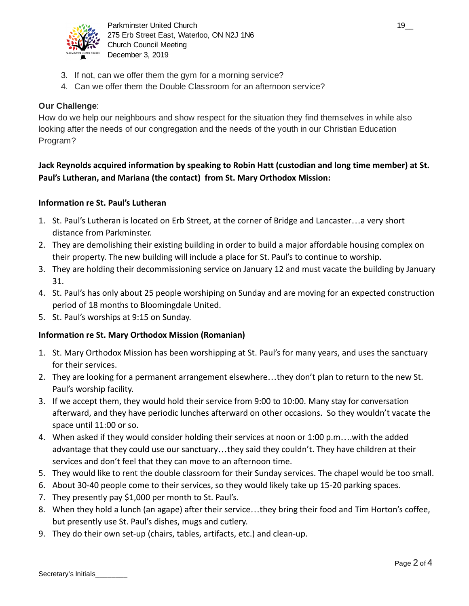

Parkminster United Church 19\_\_ 275 Erb Street East, Waterloo, ON N2J 1N6 Church Council Meeting December 3, 2019

- 3. If not, can we offer them the gym for a morning service?
- 4. Can we offer them the Double Classroom for an afternoon service?

## **Our Challenge**:

How do we help our neighbours and show respect for the situation they find themselves in while also looking after the needs of our congregation and the needs of the youth in our Christian Education Program?

# **Jack Reynolds acquired information by speaking to Robin Hatt (custodian and long time member) at St. Paul's Lutheran, and Mariana (the contact) from St. Mary Orthodox Mission:**

### **Information re St. Paul's Lutheran**

- 1. St. Paul's Lutheran is located on Erb Street, at the corner of Bridge and Lancaster…a very short distance from Parkminster.
- 2. They are demolishing their existing building in order to build a major affordable housing complex on their property. The new building will include a place for St. Paul's to continue to worship.
- 3. They are holding their decommissioning service on January 12 and must vacate the building by January 31.
- 4. St. Paul's has only about 25 people worshiping on Sunday and are moving for an expected construction period of 18 months to Bloomingdale United.
- 5. St. Paul's worships at 9:15 on Sunday.

## **Information re St. Mary Orthodox Mission (Romanian)**

- 1. St. Mary Orthodox Mission has been worshipping at St. Paul's for many years, and uses the sanctuary for their services.
- 2. They are looking for a permanent arrangement elsewhere…they don't plan to return to the new St. Paul's worship facility.
- 3. If we accept them, they would hold their service from 9:00 to 10:00. Many stay for conversation afterward, and they have periodic lunches afterward on other occasions. So they wouldn't vacate the space until 11:00 or so.
- 4. When asked if they would consider holding their services at noon or 1:00 p.m….with the added advantage that they could use our sanctuary…they said they couldn't. They have children at their services and don't feel that they can move to an afternoon time.
- 5. They would like to rent the double classroom for their Sunday services. The chapel would be too small.
- 6. About 30-40 people come to their services, so they would likely take up 15-20 parking spaces.
- 7. They presently pay \$1,000 per month to St. Paul's.
- 8. When they hold a lunch (an agape) after their service…they bring their food and Tim Horton's coffee, but presently use St. Paul's dishes, mugs and cutlery.
- 9. They do their own set-up (chairs, tables, artifacts, etc.) and clean-up.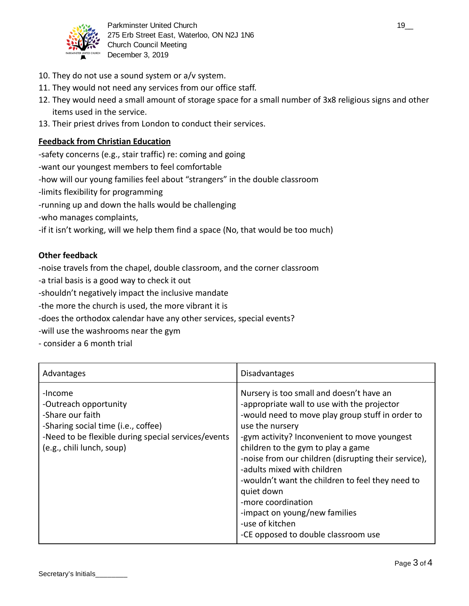

Parkminster United Church 19\_2 and the state of the state of the state of the state of the state of the state of the state of the state of the state of the state of the state of the state of the state of the state of the s 275 Erb Street East, Waterloo, ON N2J 1N6 Church Council Meeting December 3, 2019

- 10. They do not use a sound system or a/v system.
- 11. They would not need any services from our office staff.
- 12. They would need a small amount of storage space for a small number of 3x8 religious signs and other items used in the service.
- 13. Their priest drives from London to conduct their services.

### **Feedback from Christian Education**

-safety concerns (e.g., stair traffic) re: coming and going

-want our youngest members to feel comfortable

-how will our young families feel about "strangers" in the double classroom

-limits flexibility for programming

-running up and down the halls would be challenging

-who manages complaints,

-if it isn't working, will we help them find a space (No, that would be too much)

#### **Other feedback**

-noise travels from the chapel, double classroom, and the corner classroom

-a trial basis is a good way to check it out

-shouldn't negatively impact the inclusive mandate

-the more the church is used, the more vibrant it is

-does the orthodox calendar have any other services, special events?

-will use the washrooms near the gym

- consider a 6 month trial

| Advantages                                                                                                                                                                      | <b>Disadvantages</b>                                                                                                                                                                                                                                                                                                                                                                                                                                                                                                           |
|---------------------------------------------------------------------------------------------------------------------------------------------------------------------------------|--------------------------------------------------------------------------------------------------------------------------------------------------------------------------------------------------------------------------------------------------------------------------------------------------------------------------------------------------------------------------------------------------------------------------------------------------------------------------------------------------------------------------------|
| -Income<br>-Outreach opportunity<br>-Share our faith<br>-Sharing social time (i.e., coffee)<br>-Need to be flexible during special services/events<br>(e.g., chili lunch, soup) | Nursery is too small and doesn't have an<br>-appropriate wall to use with the projector<br>-would need to move play group stuff in order to<br>use the nursery<br>-gym activity? Inconvenient to move youngest<br>children to the gym to play a game<br>-noise from our children (disrupting their service),<br>-adults mixed with children<br>-wouldn't want the children to feel they need to<br>quiet down<br>-more coordination<br>-impact on young/new families<br>-use of kitchen<br>-CE opposed to double classroom use |